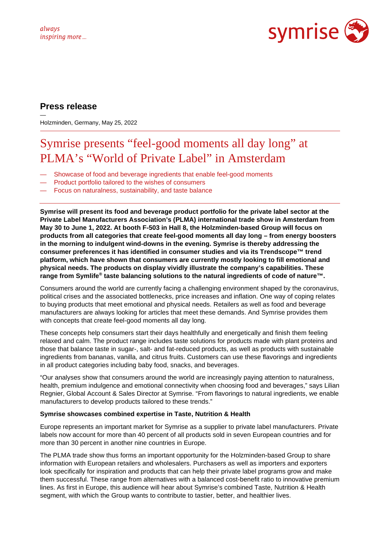

## **Press release**

— Holzminden, Germany, May 25, 2022

# Symrise presents "feel-good moments all day long" at PLMA's "World of Private Label" in Amsterdam

- Showcase of food and beverage ingredients that enable feel-good moments
- Product portfolio tailored to the wishes of consumers
- Focus on naturalness, sustainability, and taste balance

**Symrise will present its food and beverage product portfolio for the private label sector at the Private Label Manufacturers Association's (PLMA) international trade show in Amsterdam from May 30 to June 1, 2022. At booth F-503 in Hall 8, the Holzminden-based Group will focus on products from all categories that create feel-good moments all day long – from energy boosters in the morning to indulgent wind-downs in the evening. Symrise is thereby addressing the consumer preferences it has identified in consumer studies and via its Trendscope™ trend platform, which have shown that consumers are currently mostly looking to fill emotional and physical needs. The products on display vividly illustrate the company's capabilities. These range from Symlife® taste balancing solutions to the natural ingredients of code of nature™.**

Consumers around the world are currently facing a challenging environment shaped by the coronavirus, political crises and the associated bottlenecks, price increases and inflation. One way of coping relates to buying products that meet emotional and physical needs. Retailers as well as food and beverage manufacturers are always looking for articles that meet these demands. And Symrise provides them with concepts that create feel-good moments all day long.

These concepts help consumers start their days healthfully and energetically and finish them feeling relaxed and calm. The product range includes taste solutions for products made with plant proteins and those that balance taste in sugar-, salt- and fat-reduced products, as well as products with sustainable ingredients from bananas, vanilla, and citrus fruits. Customers can use these flavorings and ingredients in all product categories including baby food, snacks, and beverages.

"Our analyses show that consumers around the world are increasingly paying attention to naturalness, health, premium indulgence and emotional connectivity when choosing food and beverages," says Lilian Regnier, Global Account & Sales Director at Symrise. "From flavorings to natural ingredients, we enable manufacturers to develop products tailored to these trends."

### **Symrise showcases combined expertise in Taste, Nutrition & Health**

Europe represents an important market for Symrise as a supplier to private label manufacturers. Private labels now account for more than 40 percent of all products sold in seven European countries and for more than 30 percent in another nine countries in Europe.

The PLMA trade show thus forms an important opportunity for the Holzminden-based Group to share information with European retailers and wholesalers. Purchasers as well as importers and exporters look specifically for inspiration and products that can help their private label programs grow and make them successful. These range from alternatives with a balanced cost-benefit ratio to innovative premium lines. As first in Europe, this audience will hear about Symrise's combined Taste, Nutrition & Health segment, with which the Group wants to contribute to tastier, better, and healthier lives.